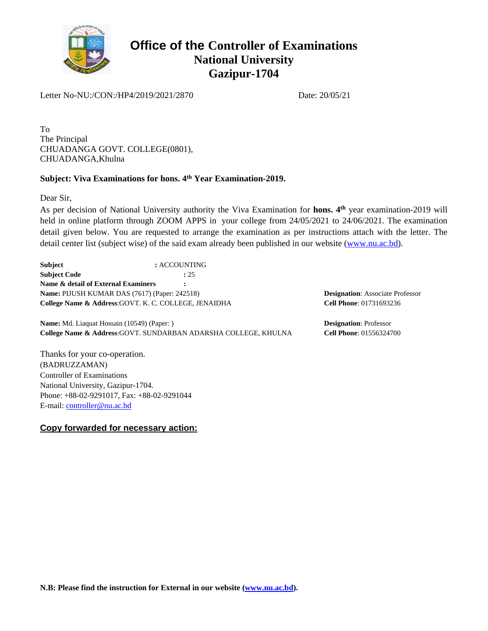

Letter No-NU:/CON:/HP4/2019/2021/2870 Date: 20/05/21

To The Principal CHUADANGA GOVT. COLLEGE(0801), CHUADANGA,Khulna

#### **Subject: Viva Examinations for hons. 4th Year Examination-2019.**

Dear Sir,

As per decision of National University authority the Viva Examination for hons. 4<sup>th</sup> year examination-2019 will held in online platform through ZOOM APPS in your college from 24/05/2021 to 24/06/2021. The examination detail given below. You are requested to arrange the examination as per instructions attach with the letter. The detail center list (subject wise) of the said exam already been published in our website ([www.nu.ac.bd](http://www.nu.ac.bd/)).

**Subject :** ACCOUNTING **Subject Code :** 25 **Name & detail of External Examiners : Name:** PIJUSH KUMAR DAS (7617) (Paper: 242518) **College Name & Address**:GOVT. K. C. COLLEGE, JENAIDHA

**Name:** Md. Liaquat Hossain (10549) (Paper: ) **College Name & Address**:GOVT. SUNDARBAN ADARSHA COLLEGE, KHULNA

Thanks for your co-operation. (BADRUZZAMAN) Controller of Examinations National University, Gazipur-1704. Phone: +88-02-9291017, Fax: +88-02-9291044 E-mail: [controller@nu.ac.bd](mailto:controller@nu.ac.bd)

**Copy forwarded for necessary action:**

**Designation**: Associate Professor **Cell Phone**: 01731693236

**Designation**: Professor **Cell Phone**: 01556324700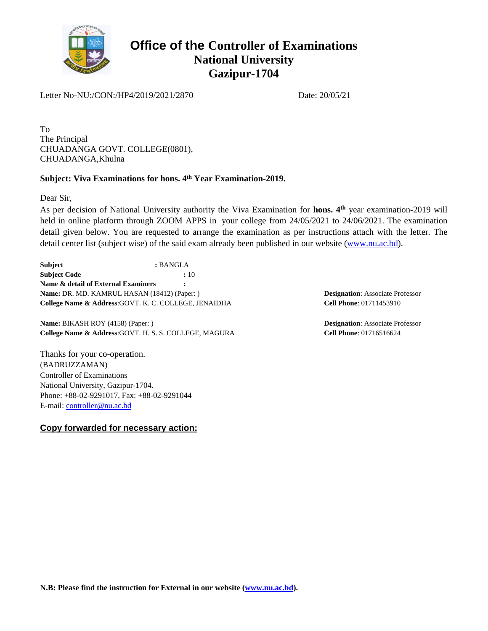

Letter No-NU:/CON:/HP4/2019/2021/2870 Date: 20/05/21

To The Principal CHUADANGA GOVT. COLLEGE(0801), CHUADANGA,Khulna

#### **Subject: Viva Examinations for hons. 4th Year Examination-2019.**

Dear Sir,

As per decision of National University authority the Viva Examination for hons. 4<sup>th</sup> year examination-2019 will held in online platform through ZOOM APPS in your college from 24/05/2021 to 24/06/2021. The examination detail given below. You are requested to arrange the examination as per instructions attach with the letter. The detail center list (subject wise) of the said exam already been published in our website ([www.nu.ac.bd](http://www.nu.ac.bd/)).

**Subject :** BANGLA **Subject Code :** 10 **Name & detail of External Examiners : Name:** DR. MD. KAMRUL HASAN (18412) (Paper: ) **College Name & Address**:GOVT. K. C. COLLEGE, JENAIDHA

**Name:** BIKASH ROY (4158) (Paper: ) **College Name & Address**:GOVT. H. S. S. COLLEGE, MAGURA

Thanks for your co-operation. (BADRUZZAMAN) Controller of Examinations National University, Gazipur-1704. Phone: +88-02-9291017, Fax: +88-02-9291044 E-mail: [controller@nu.ac.bd](mailto:controller@nu.ac.bd)

**Copy forwarded for necessary action:**

**Designation**: Associate Professor **Cell Phone**: 01711453910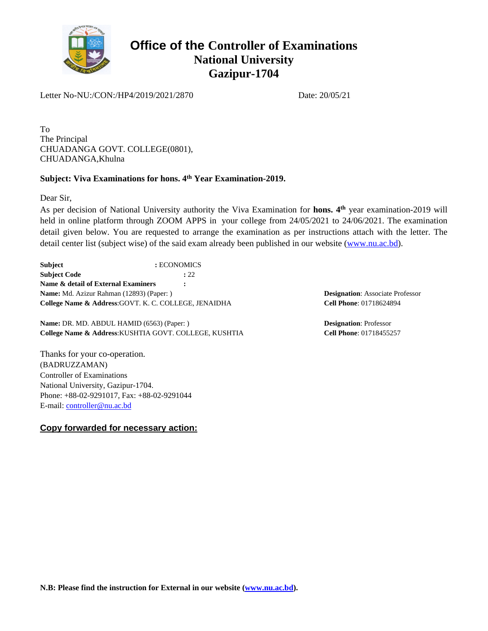

Letter No-NU:/CON:/HP4/2019/2021/2870 Date: 20/05/21

To The Principal CHUADANGA GOVT. COLLEGE(0801), CHUADANGA,Khulna

#### **Subject: Viva Examinations for hons. 4th Year Examination-2019.**

Dear Sir,

As per decision of National University authority the Viva Examination for hons. 4<sup>th</sup> year examination-2019 will held in online platform through ZOOM APPS in your college from 24/05/2021 to 24/06/2021. The examination detail given below. You are requested to arrange the examination as per instructions attach with the letter. The detail center list (subject wise) of the said exam already been published in our website ([www.nu.ac.bd](http://www.nu.ac.bd/)).

**Subject :** ECONOMICS **Subject Code :** 22 **Name & detail of External Examiners : Name:** Md. Azizur Rahman (12893) (Paper: ) **College Name & Address**:GOVT. K. C. COLLEGE, JENAIDHA

**Name:** DR. MD. ABDUL HAMID (6563) (Paper: ) **College Name & Address**:KUSHTIA GOVT. COLLEGE, KUSHTIA

Thanks for your co-operation. (BADRUZZAMAN) Controller of Examinations National University, Gazipur-1704. Phone: +88-02-9291017, Fax: +88-02-9291044 E-mail: [controller@nu.ac.bd](mailto:controller@nu.ac.bd)

**Copy forwarded for necessary action:**

**Designation**: Associate Professor **Cell Phone**: 01718624894

**Designation**: Professor **Cell Phone**: 01718455257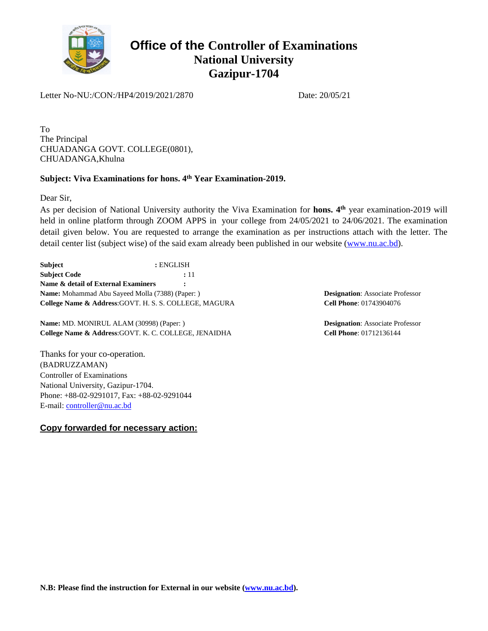

Letter No-NU:/CON:/HP4/2019/2021/2870 Date: 20/05/21

To The Principal CHUADANGA GOVT. COLLEGE(0801), CHUADANGA,Khulna

#### **Subject: Viva Examinations for hons. 4th Year Examination-2019.**

Dear Sir,

As per decision of National University authority the Viva Examination for hons. 4<sup>th</sup> year examination-2019 will held in online platform through ZOOM APPS in your college from 24/05/2021 to 24/06/2021. The examination detail given below. You are requested to arrange the examination as per instructions attach with the letter. The detail center list (subject wise) of the said exam already been published in our website ([www.nu.ac.bd](http://www.nu.ac.bd/)).

**Subject :** ENGLISH **Subject Code :** 11 **Name & detail of External Examiners : Name:** Mohammad Abu Sayeed Molla (7388) (Paper: ) **College Name & Address**:GOVT. H. S. S. COLLEGE, MAGURA

**Name:** MD. MONIRUL ALAM (30998) (Paper: ) **College Name & Address**:GOVT. K. C. COLLEGE, JENAIDHA

Thanks for your co-operation. (BADRUZZAMAN) Controller of Examinations National University, Gazipur-1704. Phone: +88-02-9291017, Fax: +88-02-9291044 E-mail: [controller@nu.ac.bd](mailto:controller@nu.ac.bd)

**Copy forwarded for necessary action:**

**Designation**: Associate Professor **Cell Phone**: 01743904076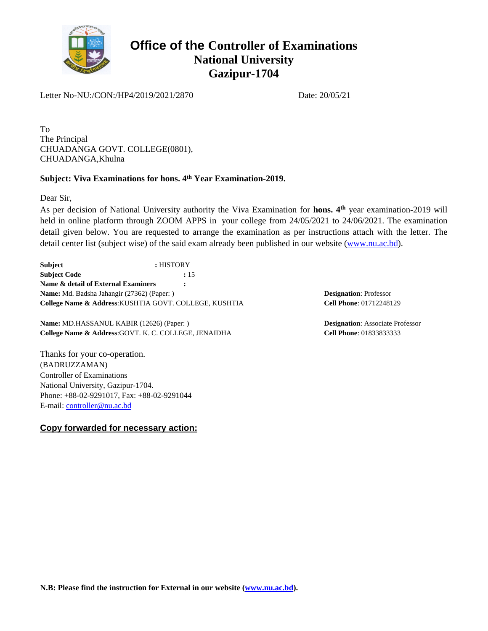

Letter No-NU:/CON:/HP4/2019/2021/2870 Date: 20/05/21

To The Principal CHUADANGA GOVT. COLLEGE(0801), CHUADANGA,Khulna

### **Subject: Viva Examinations for hons. 4th Year Examination-2019.**

Dear Sir,

As per decision of National University authority the Viva Examination for hons. 4<sup>th</sup> year examination-2019 will held in online platform through ZOOM APPS in your college from 24/05/2021 to 24/06/2021. The examination detail given below. You are requested to arrange the examination as per instructions attach with the letter. The detail center list (subject wise) of the said exam already been published in our website ([www.nu.ac.bd](http://www.nu.ac.bd/)).

**Subject :** HISTORY **Subject Code :** 15 **Name & detail of External Examiners : Name:** Md. Badsha Jahangir (27362) (Paper: ) **College Name & Address**:KUSHTIA GOVT. COLLEGE, KUSHTIA

**Name:** MD.HASSANUL KABIR (12626) (Paper: ) **College Name & Address**:GOVT. K. C. COLLEGE, JENAIDHA

Thanks for your co-operation. (BADRUZZAMAN) Controller of Examinations National University, Gazipur-1704. Phone: +88-02-9291017, Fax: +88-02-9291044 E-mail: [controller@nu.ac.bd](mailto:controller@nu.ac.bd)

**Copy forwarded for necessary action:**

**Designation**: Professor **Cell Phone**: 01712248129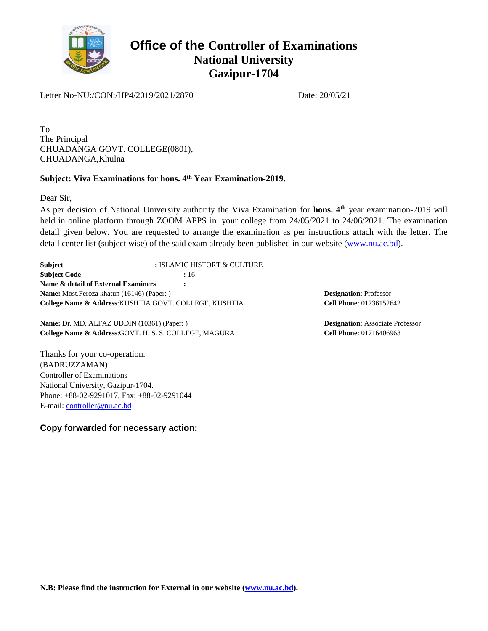

Letter No-NU:/CON:/HP4/2019/2021/2870 Date: 20/05/21

To The Principal CHUADANGA GOVT. COLLEGE(0801), CHUADANGA,Khulna

### **Subject: Viva Examinations for hons. 4th Year Examination-2019.**

Dear Sir,

As per decision of National University authority the Viva Examination for hons. 4<sup>th</sup> year examination-2019 will held in online platform through ZOOM APPS in your college from 24/05/2021 to 24/06/2021. The examination detail given below. You are requested to arrange the examination as per instructions attach with the letter. The detail center list (subject wise) of the said exam already been published in our website ([www.nu.ac.bd](http://www.nu.ac.bd/)).

**Subject :** ISLAMIC HISTORT & CULTURE **Subject Code :** 16 **Name & detail of External Examiners : Name:** Most.Feroza khatun (16146) (Paper: ) **College Name & Address**:KUSHTIA GOVT. COLLEGE, KUSHTIA

**Name:** Dr. MD. ALFAZ UDDIN (10361) (Paper: ) **College Name & Address**:GOVT. H. S. S. COLLEGE, MAGURA

Thanks for your co-operation. (BADRUZZAMAN) Controller of Examinations National University, Gazipur-1704. Phone: +88-02-9291017, Fax: +88-02-9291044 E-mail: [controller@nu.ac.bd](mailto:controller@nu.ac.bd)

**Copy forwarded for necessary action:**

**Designation**: Professor **Cell Phone**: 01736152642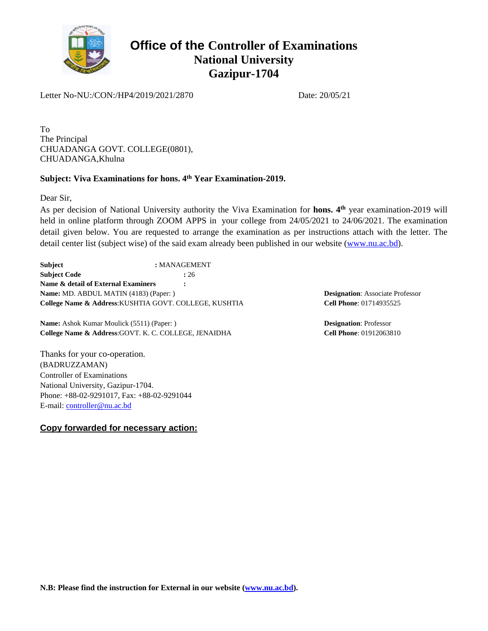

Letter No-NU:/CON:/HP4/2019/2021/2870 Date: 20/05/21

To The Principal CHUADANGA GOVT. COLLEGE(0801), CHUADANGA,Khulna

### **Subject: Viva Examinations for hons. 4th Year Examination-2019.**

Dear Sir,

As per decision of National University authority the Viva Examination for hons. 4<sup>th</sup> year examination-2019 will held in online platform through ZOOM APPS in your college from 24/05/2021 to 24/06/2021. The examination detail given below. You are requested to arrange the examination as per instructions attach with the letter. The detail center list (subject wise) of the said exam already been published in our website ([www.nu.ac.bd](http://www.nu.ac.bd/)).

**Subject :** MANAGEMENT **Subject Code :** 26 **Name & detail of External Examiners : Name:** MD. ABDUL MATIN (4183) (Paper: ) **College Name & Address**:KUSHTIA GOVT. COLLEGE, KUSHTIA

**Name:** Ashok Kumar Moulick (5511) (Paper: ) **College Name & Address**:GOVT. K. C. COLLEGE, JENAIDHA

Thanks for your co-operation. (BADRUZZAMAN) Controller of Examinations National University, Gazipur-1704. Phone: +88-02-9291017, Fax: +88-02-9291044 E-mail: [controller@nu.ac.bd](mailto:controller@nu.ac.bd)

**Copy forwarded for necessary action:**

**Designation**: Associate Professor **Cell Phone**: 01714935525

**Designation**: Professor **Cell Phone**: 01912063810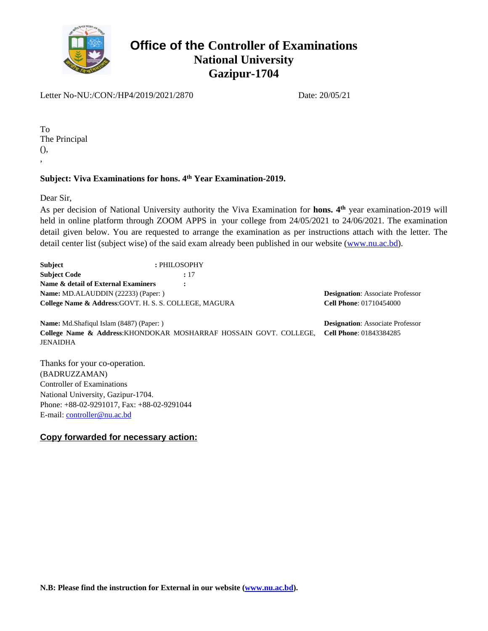

Letter No-NU:/CON:/HP4/2019/2021/2870 Date: 20/05/21

To The Principal (), ,

#### **Subject: Viva Examinations for hons. 4th Year Examination-2019.**

Dear Sir,

As per decision of National University authority the Viva Examination for hons. 4<sup>th</sup> year examination-2019 will held in online platform through ZOOM APPS in your college from 24/05/2021 to 24/06/2021. The examination detail given below. You are requested to arrange the examination as per instructions attach with the letter. The detail center list (subject wise) of the said exam already been published in our website ([www.nu.ac.bd](http://www.nu.ac.bd/)).

| <b>Subject</b>                                         | : PHILOSOPHY |          |
|--------------------------------------------------------|--------------|----------|
| <b>Subject Code</b>                                    | : 17         |          |
| Name & detail of External Examiners                    |              |          |
| Name: MD.ALAUDDIN (22233) (Paper:)                     |              | Designat |
| College Name & Address: GOVT. H. S. S. COLLEGE, MAGURA |              | Cell Pho |
|                                                        |              |          |

**tion**: Associate Professor **Cell Phone**: 01710454000

**Name:** Md.Shafiqul Islam (8487) (Paper: ) **College Name & Address**:KHONDOKAR MOSHARRAF HOSSAIN GOVT. COLLEGE, JENAIDHA

**Designation**: Associate Professor **Cell Phone**: 01843384285

Thanks for your co-operation. (BADRUZZAMAN) Controller of Examinations National University, Gazipur-1704. Phone: +88-02-9291017, Fax: +88-02-9291044 E-mail: [controller@nu.ac.bd](mailto:controller@nu.ac.bd)

### **Copy forwarded for necessary action:**